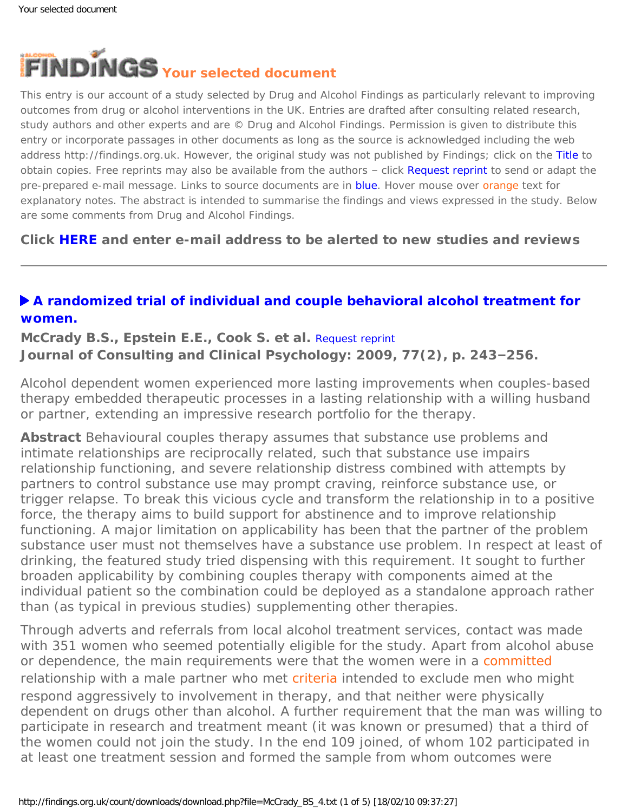<span id="page-0-0"></span>

This entry is our account of a study selected by Drug and Alcohol Findings as particularly relevant to improving outcomes from drug or alcohol interventions in the UK. Entries are drafted after consulting related research, study authors and other experts and are © Drug and Alcohol Findings. Permission is given to distribute this entry or incorporate passages in other documents as long as the source is acknowledged including the web address http://findings.org.uk. However, the original study was not published by Findings; click on the Title to obtain copies. Free reprints may also be available from the authors - click Request reprint to send or adapt the pre-prepared e-mail message. Links to source documents are in blue. Hover mouse over orange text for explanatory notes. The abstract is intended to summarise the findings and views expressed in the study. Below are some comments from Drug and Alcohol Findings.

**Click [HERE](https://findings.org.uk/index.php#signUp) and enter e-mail address to be alerted to new studies and reviews**

## **[A randomized trial of individual and couple behavioral alcohol treatment for](http://dx.doi.org/10.1037/a0014686) [women.](http://dx.doi.org/10.1037/a0014686)**

**McCrady B.S., Epstein E.E., Cook S. et al.** [Request reprint](mailto:bmccrady@unm.edu?Subject=Reprint%20request&body=Dear Dr McCrady%0A%0AOn the Drug and Alcohol Findings web site (https://findings.org.uk) I read about your article:%0AMcCrady B.S., Epstein E.E., Cook S. et al. A randomized trial of individual and couple behavioral alcohol treatment for women. Journal of Consulting and Clinical Psychology: 2009, 77(2), p. 243-256.%0A%0AWould it be possible to for me to be sent a PDF reprint or the manuscript by return e-mail?%0A) **Journal of Consulting and Clinical Psychology: 2009, 77(2), p. 243–256.**

Alcohol dependent women experienced more lasting improvements when couples-based therapy embedded therapeutic processes in a lasting relationship with a willing husband or partner, extending an impressive research portfolio for the therapy.

**Abstract** Behavioural couples therapy assumes that substance use problems and intimate relationships are reciprocally related, such that substance use impairs relationship functioning, and severe relationship distress combined with attempts by partners to control substance use may prompt craving, reinforce substance use, or trigger relapse. To break this vicious cycle and transform the relationship in to a positive force, the therapy aims to build support for abstinence and to improve relationship functioning. A major limitation on applicability has been that the partner of the problem substance user must not themselves have a substance use problem. In respect at least of drinking, the featured study tried dispensing with this requirement. It sought to further broaden applicability by combining couples therapy with components aimed at the individual patient so the combination could be deployed as a standalone approach rather than (as typical in previous studies) supplementing other therapies.

Through adverts and referrals from local alcohol treatment services, contact was made with 351 women who seemed potentially eligible for the study. Apart from alcohol abuse or dependence, the main requirements were that the women were in a [committed](#page-0-0) relationship with a male partner who met [criteria](#page-0-0) intended to exclude men who might respond aggressively to involvement in therapy, and that neither were physically dependent on drugs other than alcohol. A further requirement that the man was willing to participate in research and treatment meant (it was known or presumed) that a third of the women could not join the study. In the end 109 joined, of whom 102 participated in at least one treatment session and formed the sample from whom outcomes were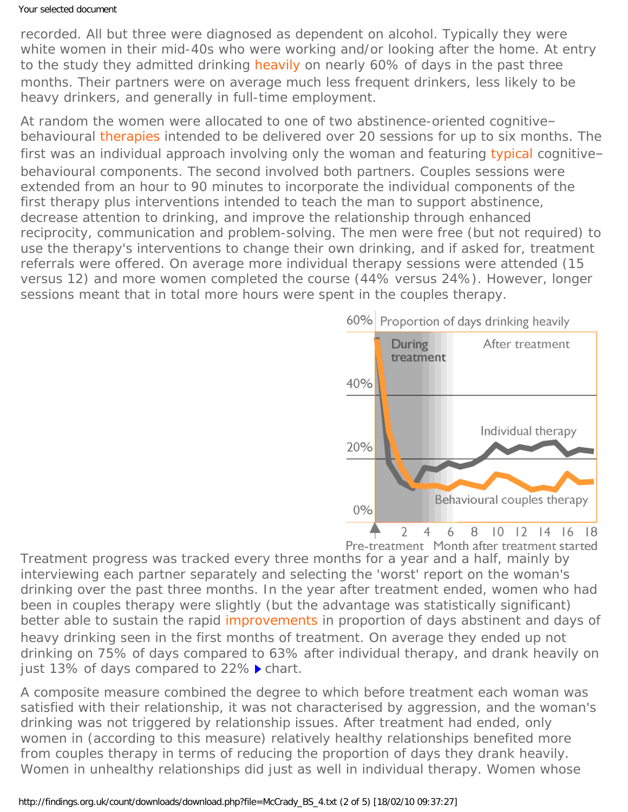## Your selected document

recorded. All but three were diagnosed as dependent on alcohol. Typically they were white women in their mid-40s who were working and/or looking after the home. At entry to the study they admitted drinking [heavily](#page-0-0) on nearly 60% of days in the past three months. Their partners were on average much less frequent drinkers, less likely to be heavy drinkers, and generally in full-time employment.

At random the women were allocated to one of two abstinence-oriented cognitive– behavioural [therapies](#page-0-0) intended to be delivered over 20 sessions for up to six months. The first was an individual approach involving only the woman and featuring [typical](#page-0-0) cognitivebehavioural components. The second involved both partners. Couples sessions were extended from an hour to 90 minutes to incorporate the individual components of the first therapy plus interventions intended to teach the man to support abstinence, decrease attention to drinking, and improve the relationship through enhanced reciprocity, communication and problem-solving. The men were free (but not required) to use the therapy's interventions to change their own drinking, and if asked for, treatment referrals were offered. On average more individual therapy sessions were attended (15 versus 12) and more women completed the course (44% versus 24%). However, longer sessions meant that in total more hours were spent in the couples therapy.



Pre-treatment Month after treatment started

Treatment progress was tracked every three months for a year and a half, mainly by interviewing each partner separately and selecting the 'worst' report on the woman's drinking over the past three months. In the year after treatment ended, women who had been in couples therapy were slightly (but the advantage was statistically significant) better able to sustain the rapid [improvements](#page-0-0) in proportion of days abstinent and days of heavy drinking seen in the first months of treatment. On average they ended up not drinking on 75% of days compared to 63% after individual therapy, and drank heavily on just 13% of days compared to 22% *chart*.

A composite measure combined the degree to which before treatment each woman was satisfied with their relationship, it was not characterised by aggression, and the woman's drinking was not triggered by relationship issues. After treatment had ended, only women in (according to this measure) relatively healthy relationships benefited more from couples therapy in terms of reducing the proportion of days they drank heavily. Women in unhealthy relationships did just as well in individual therapy. Women whose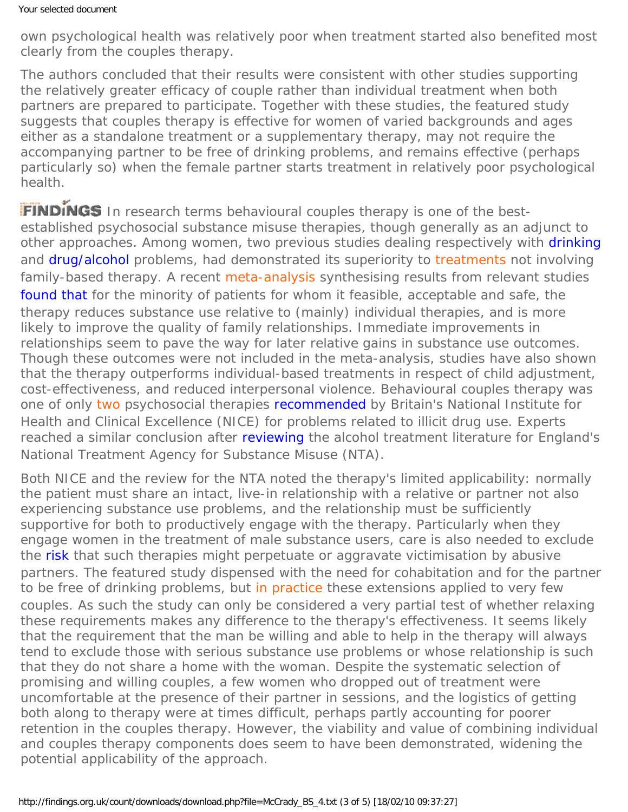*own* psychological health was relatively poor when treatment started also benefited most clearly from the couples therapy.

The authors concluded that their results were consistent with other studies supporting the relatively greater efficacy of couple rather than individual treatment when both partners are prepared to participate. Together with these studies, the featured study suggests that couples therapy is effective for women of varied backgrounds and ages either as a standalone treatment or a supplementary therapy, may not require the accompanying partner to be free of drinking problems, and remains effective (perhaps particularly so) when the female partner starts treatment in relatively poor psychological health.

FINDINGS In research terms behavioural couples therapy is one of the bestestablished psychosocial substance misuse therapies, though generally as an adjunct to other approaches. Among women, two previous studies dealing respectively with [drinking](https://findings.org.uk/count/downloads/download.php?file=BCT.nug) and [drug/alcohol](http://dx.doi.org/10.1037//0022-006X.70.2.344) problems, had demonstrated its superiority to [treatments](#page-0-0) not involving family-based therapy. A recent [meta-analysis](#page-0-0) synthesising results from relevant studies [found that](https://findings.org.uk/count/downloads/download.php?file=Powers_MB_1.txt) for the minority of patients for whom it feasible, acceptable and safe, the therapy reduces substance use relative to (mainly) individual therapies, and is more likely to improve the quality of family relationships. Immediate improvements in relationships seem to pave the way for later relative gains in substance use outcomes. Though these outcomes were not included in the meta-analysis, studies have also shown that the therapy outperforms individual-based treatments in respect of child adjustment, cost-effectiveness, and reduced interpersonal violence. Behavioural couples therapy was one of only [two](#page-0-0) psychosocial therapies [recommended](http://www.nice.org.uk/CG51) by Britain's National Institute for Health and Clinical Excellence (NICE) for problems related to illicit drug use. Experts reached a similar conclusion after [reviewing](http://www.nta.nhs.uk/publications/publications.aspx?CategoryID=6) the alcohol treatment literature for England's National Treatment Agency for Substance Misuse (NTA).

Both NICE and the review for the NTA noted the therapy's limited applicability: normally the patient must share an intact, live-in relationship with a relative or partner not also experiencing substance use problems, and the relationship must be sufficiently supportive for both to productively engage with the therapy. Particularly when they engage women in the treatment of male substance users, care is also needed to exclude the [risk](http://www.informaworld.com/smpp/content~db=all~content=a771043738) that such therapies might perpetuate or aggravate victimisation by abusive partners. The featured study dispensed with the need for cohabitation and for the partner to be free of drinking problems, but [in practice](#page-0-0) these extensions applied to very few couples. As such the study can only be considered a very partial test of whether relaxing these requirements makes any difference to the therapy's effectiveness. It seems likely that the requirement that the man be willing and able to help in the therapy will always tend to exclude those with serious substance use problems or whose relationship is such that they do not share a home with the woman. Despite the systematic selection of promising and willing couples, a few women who dropped out of treatment were uncomfortable at the presence of their partner in sessions, and the logistics of getting both along to therapy were at times difficult, perhaps partly accounting for poorer retention in the couples therapy. However, the viability and value of combining individual and couples therapy components does seem to have been demonstrated, widening the potential applicability of the approach.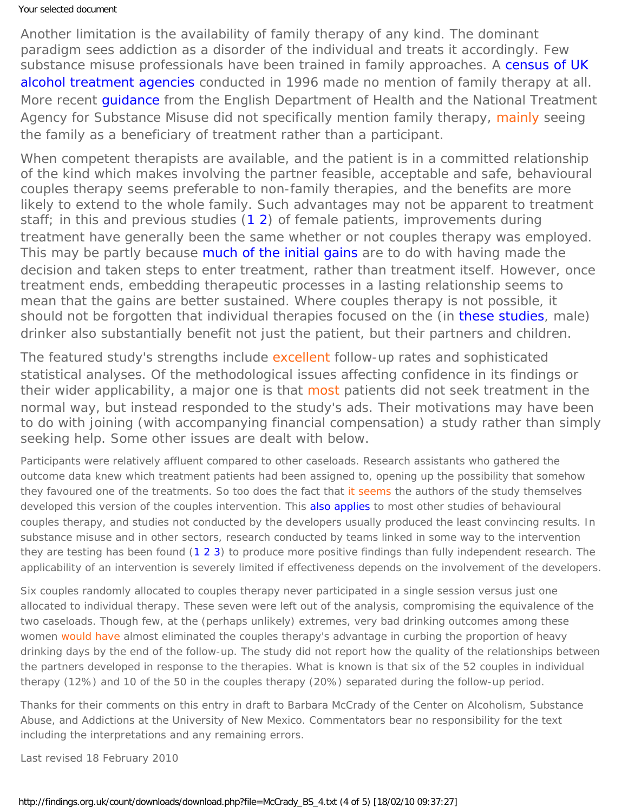## Your selected document

Another limitation is the availability of family therapy of any kind. The dominant paradigm sees addiction as a disorder of the individual and treats it accordingly. Few substance misuse professionals have been trained in family approaches. A [census of UK](http://informahealthcare.com/doi/abs/10.3109/14659890009053075) [alcohol treatment agencies](http://informahealthcare.com/doi/abs/10.3109/14659890009053075) conducted in 1996 made no mention of family therapy at all. More recent [guidance](http://www.dh.gov.uk/en/Publicationsandstatistics/Publications/PublicationsPolicyAndGuidance/DH_4136806) from the English Department of Health and the National Treatment Agency for Substance Misuse did not specifically mention family therapy, [mainly](#page-0-0) seeing the family as a beneficiary of treatment rather than a participant.

When competent therapists are available, and the patient is in a committed relationship of the kind which makes involving the partner feasible, acceptable and safe, behavioural couples therapy seems preferable to non-family therapies, and the benefits are more likely to extend to the whole family. Such advantages may not be apparent to treatment staff; in this and previous studies ([1](https://findings.org.uk/count/downloads/download.php?file=BCT.nug) [2](http://dx.doi.org/10.1037//0022-006X.70.2.344)) of female patients, improvements *during* treatment have generally been the same whether or not couples therapy was employed. This may be partly because [much of the initial gains](http://www.jsad.com/jsad/article/Is_Alcohol_Assessment_Therapeutic_Pretreatment_Change_in_Drinking_among_Al/978.html) are to do with having made the decision and taken steps to enter treatment, rather than treatment itself. However, once treatment ends, embedding therapeutic processes in a lasting relationship seems to mean that the gains are better sustained. Where couples therapy is not possible, it should not be forgotten that individual therapies focused on the (in [these studies,](https://findings.org.uk/count/downloads/download.php?file=nug_15_8.pdf) male) drinker also substantially benefit not just the patient, but their partners and children.

The featured study's strengths include [excellent](#page-0-0) follow-up rates and sophisticated statistical analyses. Of the methodological issues affecting confidence in its findings or their wider applicability, a major one is that [most](#page-0-0) patients did not seek treatment in the normal way, but instead responded to the study's ads. Their motivations may have been to do with joining (with accompanying financial compensation) a study rather than simply seeking help. Some other issues are dealt with below.

Participants were relatively affluent compared to other caseloads. Research assistants who gathered the outcome data knew which treatment patients had been assigned to, opening up the possibility that somehow they favoured one of the treatments. So too does the fact that [it seems](#page-0-0) the authors of the study themselves developed this version of the couples intervention. This [also applies](https://findings.org.uk/count/downloads/download.php?file=Powers_MB_1.txt) to most other studies of behavioural couples therapy, and studies *not* conducted by the developers usually produced the least convincing results. In substance misuse and in other sectors, research conducted by teams linked in some way to the intervention they are testing has been found ([1](http://dx.doi.org/10.1007/s11292-009-9071-y) [2](http://dx.doi.org/10.1177/0193841X06287188) [3](https://findings.org.uk/count/downloads/download.php?file=Imel_.E_1.txt)) to produce more positive findings than fully independent research. The applicability of an intervention is severely limited if effectiveness depends on the involvement of the developers.

Six couples randomly allocated to couples therapy never participated in a single session versus just one allocated to individual therapy. These seven were left out of the analysis, compromising the equivalence of the two caseloads. Though few, at the (perhaps unlikely) extremes, very bad drinking outcomes among these women [would have](#page-0-0) almost eliminated the couples therapy's advantage in curbing the proportion of heavy drinking days by the end of the follow-up. The study did not report how the quality of the relationships between the partners developed in response to the therapies. What is known is that six of the 52 couples in individual therapy (12%) and 10 of the 50 in the couples therapy (20%) separated during the follow-up period.

*Thanks for their comments on this entry in draft to Barbara McCrady of the Center on Alcoholism, Substance Abuse, and Addictions at the University of New Mexico. Commentators bear no responsibility for the text including the interpretations and any remaining errors.*

Last revised 18 February 2010